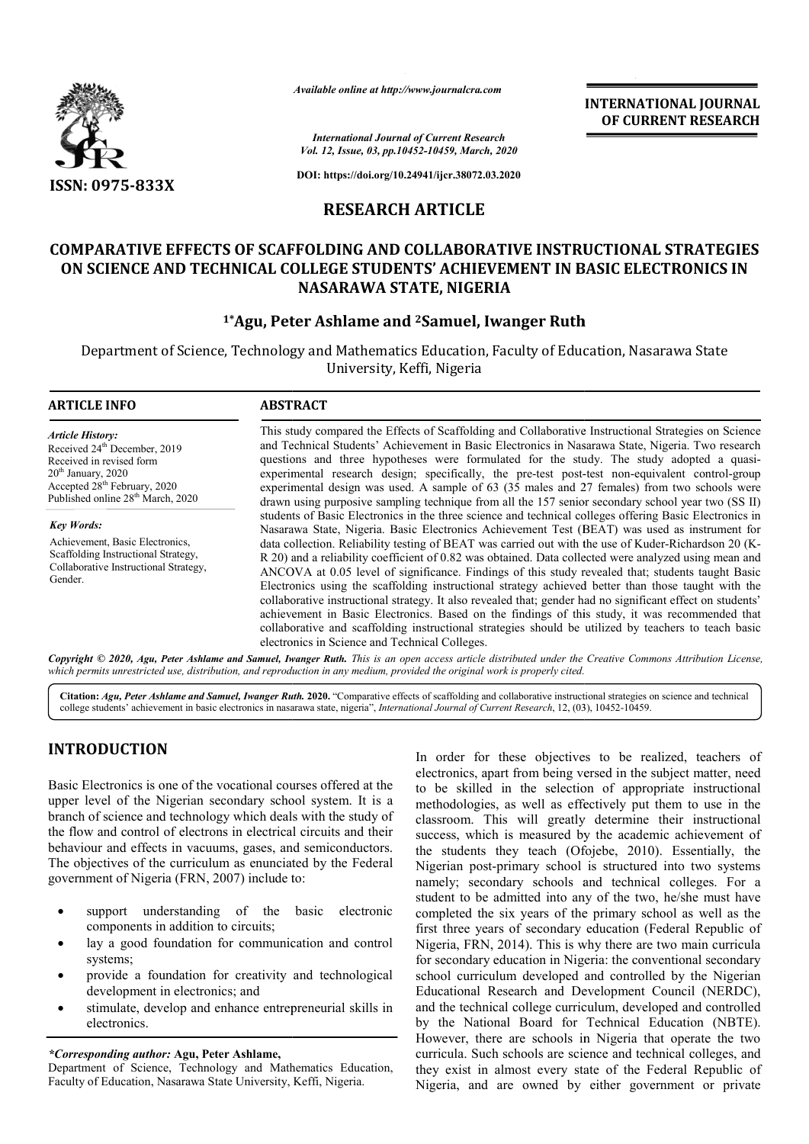

*Available online at http://www.journalcra.com*

**INTERNATIONAL JOURNAL OF CURRENT RESEARCH**

*International Journal of Current Research Vol. 12, Issue, 03, pp.10452-10459, March, 2020*

**DOI: https://doi.org/10.24941/ijcr.38072.03.2020**

# **RESEARCH ARTICLE**

# **COMPARATIVE EFFECTS OF SCAFFOLDING AND COLLABORATIVE INSTRUCTIONAL STRATEGIES ON SCIENCE AND TECHNICAL COLLEGE STUDENTS' ACHIEVEMENT IN BASIC ELECTRONICS IN 1\* S OF SCAFFOLDING AND COLLABORATIVE INSTRUTHNICAL COLLEGE STUDENTS' ACHIEVEMENT IN B<br>1\*Agu, Peter Ashlame and <sup>2</sup>Samuel, Iwanger Ruth NASARAWA STATE, NIGERIA**

Department of Science, Technology and Mathematics Education, Faculty of Education, Nasarawa State University, Keffi, Nigeria

| <b>ARTICLE INFO</b>                                                                                                                                                                                                  | <b>ABSTRACT</b>                                                                                                                                                                                                                                                                                                                                                                                                                                                                                                                                                                                                                                                                                                                                                                                                                                                                                                                                                                                                 |  |  |  |  |
|----------------------------------------------------------------------------------------------------------------------------------------------------------------------------------------------------------------------|-----------------------------------------------------------------------------------------------------------------------------------------------------------------------------------------------------------------------------------------------------------------------------------------------------------------------------------------------------------------------------------------------------------------------------------------------------------------------------------------------------------------------------------------------------------------------------------------------------------------------------------------------------------------------------------------------------------------------------------------------------------------------------------------------------------------------------------------------------------------------------------------------------------------------------------------------------------------------------------------------------------------|--|--|--|--|
| <b>Article History:</b><br>Received 24 <sup>th</sup> December, 2019<br>Received in revised form<br>$20th$ January, 2020<br>Accepted 28 <sup>th</sup> February, 2020<br>Published online 28 <sup>th</sup> March, 2020 | This study compared the Effects of Scaffolding and Collaborative Instructional Strategies on Science<br>and Technical Students' Achievement in Basic Electronics in Nasarawa State, Nigeria. Two research<br>questions and three hypotheses were formulated for the study. The study adopted a quasi-<br>experimental research design; specifically, the pre-test post-test non-equivalent control-group<br>experimental design was used. A sample of 63 (35 males and 27 females) from two schools were<br>drawn using purposive sampling technique from all the 157 senior secondary school year two (SS II)                                                                                                                                                                                                                                                                                                                                                                                                  |  |  |  |  |
| <b>Key Words:</b><br>Achievement, Basic Electronics,<br>Scaffolding Instructional Strategy,<br>Collaborative Instructional Strategy,<br>Gender.                                                                      | students of Basic Electronics in the three science and technical colleges offering Basic Electronics in<br>Nasarawa State, Nigeria. Basic Electronics Achievement Test (BEAT) was used as instrument for<br>data collection. Reliability testing of BEAT was carried out with the use of Kuder-Richardson 20 (K-<br>R 20) and a reliability coefficient of 0.82 was obtained. Data collected were analyzed using mean and<br>ANCOVA at 0.05 level of significance. Findings of this study revealed that; students taught Basic<br>Electronics using the scaffolding instructional strategy achieved better than those taught with the<br>collaborative instructional strategy. It also revealed that; gender had no significant effect on students'<br>achievement in Basic Electronics. Based on the findings of this study, it was recommended that<br>collaborative and scaffolding instructional strategies should be utilized by teachers to teach basic<br>electronics in Science and Technical Colleges. |  |  |  |  |

Copyright © 2020, Agu, Peter Ashlame and Samuel, Iwanger Ruth. This is an open access article distributed under the Creative Commons Attribution License, which permits unrestricted use, distribution, and reproduction in any medium, provided the original work is properly cited.

Citation: Agu, Peter Ashlame and Samuel, Iwanger Ruth. 2020. "Comparative effects of scaffolding and collaborative instructional strategies on science and technical college students' achievement in basic electronics in nas college students' achievement in basic electronics in nasarawa state, nigeria", *International Journal of Current Research*, 12, (03

# **INTRODUCTION**

Basic Electronics is one of the vocational courses offered at the upper level of the Nigerian secondary school system. It is a branch of science and technology which deals with the study of the flow and control of electrons in electrical circuits and their behaviour and effects in vacuums, gases, and semiconductors. The objectives of the curriculum as enunciated by the Federal government of Nigeria (FRN, 2007) include to:

- support understanding of the basic electronic components in addition to circuits;
- lay a good foundation for communication and control systems;
- provide a foundation for creativity and technological development in electronics; and
- stimulate, develop and enhance entrepreneurial skills in electronics.

*\*Corresponding author:* **Agu, Peter Ashlame,**

Department of Science, Technology and Mathematics Education, Faculty of Education, Nasarawa State University, Keffi, Nigeria Nigeria.

In order for these objectives to be realized, teachers of In order for these objectives to be realized, teachers of electronics, apart from being versed in the subject matter, need to be skilled in the selection of appropriate instructional methodologies, as well as effectively put them to use in the classroom. This will greatly determine their instructional success, which is measured by the academic achievement of the students they teach (Ofojebe, 2010). Essentially, the Nigerian post-primary school is structured into two systems namely; secondary schools and technical colleges. For a student to be admitted into any of the two, he/she must have completed the six years of the primary school as well as the first three years of secondary education (Federal Republic of Nigeria, FRN, 2014). This is why there are two main curricula for secondary education in Nigeria: the conventional secondary school curriculum developed and controlled by the Nigerian Educational Research and Development Council (NERDC), and the technical college curriculum, developed and controlled by the National Board for Technical Education (NBTE). However, there are schools in Nigeria that operate the two curricula. Such schools are science and technical colleges, and they exist in almost every state of the Federal Republic of Nigeria, and are owned by either government or private to be skilled in the selection of appropriate instructional methodologies, as well as effectively put them to use in the classroom. This will greatly determine their instructional success, which is measured by the academic three years of secondary education (Federal Republic of<br>ria, FRN, 2014). This is why there are two main curricula<br>econdary education in Nigeria: the conventional secondary<br>ol curriculum developed and controlled by the Nige INTERNATIONAL JOURNAL<br>
FOR BEACH CONTINUO CONTINUO CONTINUO CONTINUO CONTINUO CONTINUO CONTINUO CONTINUO CONTINUO CONTINUO CONTINUO CONTINUO CONTINUO CONTINUO CONTINUO CONTINUO CONTINUO CONTINUO CONTINUO CONTINUO CONTINUO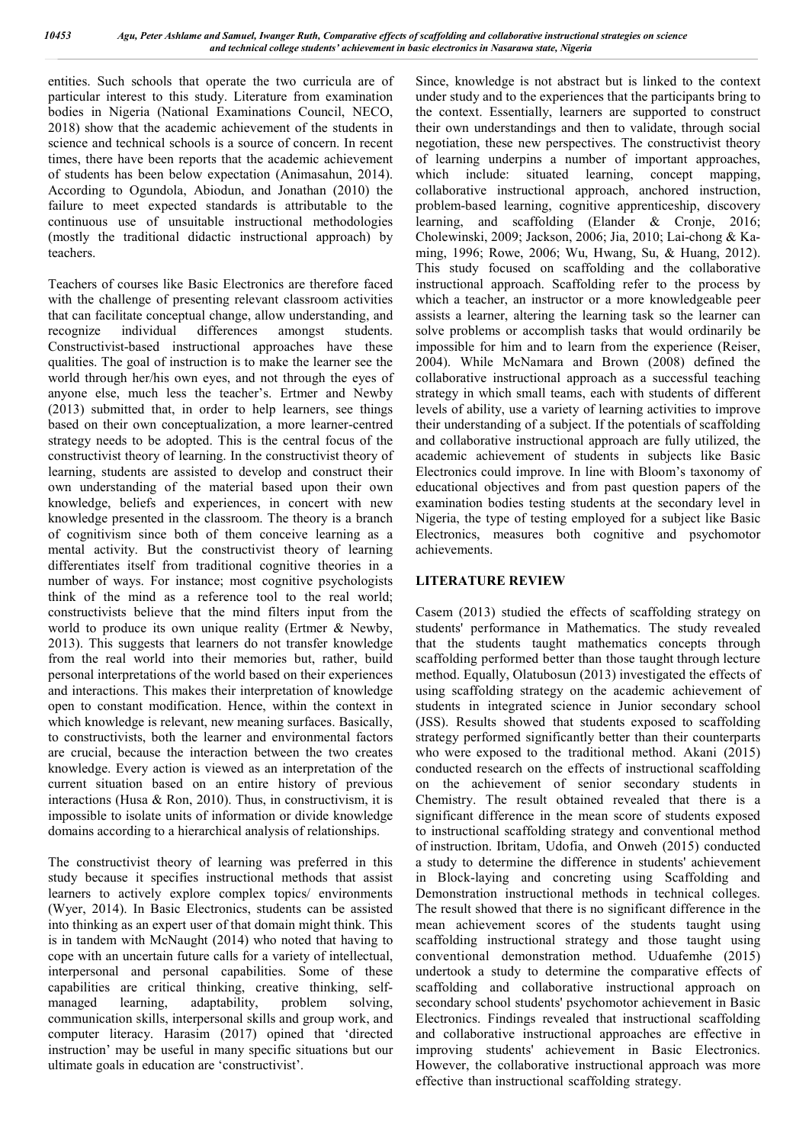entities. Such schools that operate the two curricula are of particular interest to this study. Literature from examination bodies in Nigeria (National Examinations Council, NECO, 2018) show that the academic achievement of the students in science and technical schools is a source of concern. In recent times, there have been reports that the academic achievement of students has been below expectation (Animasahun, 2014). According to Ogundola, Abiodun, and Jonathan (2010) the failure to meet expected standards is attributable to the continuous use of unsuitable instructional methodologies (mostly the traditional didactic instructional approach) by teachers.

Teachers of courses like Basic Electronics are therefore faced with the challenge of presenting relevant classroom activities that can facilitate conceptual change, allow understanding, and recognize individual differences amongst students. Constructivist-based instructional approaches have these qualities. The goal of instruction is to make the learner see the world through her/his own eyes, and not through the eyes of anyone else, much less the teacher's. Ertmer and Newby (2013) submitted that, in order to help learners, see things based on their own conceptualization, a more learner-centred strategy needs to be adopted. This is the central focus of the constructivist theory of learning. In the constructivist theory of learning, students are assisted to develop and construct their own understanding of the material based upon their own knowledge, beliefs and experiences, in concert with new knowledge presented in the classroom. The theory is a branch of cognitivism since both of them conceive learning as a mental activity. But the constructivist theory of learning differentiates itself from traditional cognitive theories in a number of ways. For instance; most cognitive psychologists think of the mind as a reference tool to the real world; constructivists believe that the mind filters input from the world to produce its own unique reality (Ertmer & Newby, 2013). This suggests that learners do not transfer knowledge from the real world into their memories but, rather, build personal interpretations of the world based on their experiences and interactions. This makes their interpretation of knowledge open to constant modification. Hence, within the context in which knowledge is relevant, new meaning surfaces. Basically, to constructivists, both the learner and environmental factors are crucial, because the interaction between the two creates knowledge. Every action is viewed as an interpretation of the current situation based on an entire history of previous interactions (Husa & Ron, 2010). Thus, in constructivism, it is impossible to isolate units of information or divide knowledge domains according to a hierarchical analysis of relationships.

The constructivist theory of learning was preferred in this study because it specifies instructional methods that assist learners to actively explore complex topics/ environments (Wyer, 2014). In Basic Electronics, students can be assisted into thinking as an expert user of that domain might think. This is in tandem with McNaught (2014) who noted that having to cope with an uncertain future calls for a variety of intellectual, interpersonal and personal capabilities. Some of these capabilities are critical thinking, creative thinking, selfmanaged learning, adaptability, problem solving, communication skills, interpersonal skills and group work, and computer literacy. Harasim (2017) opined that 'directed instruction' may be useful in many specific situations but our ultimate goals in education are 'constructivist'.

Since, knowledge is not abstract but is linked to the context under study and to the experiences that the participants bring to the context. Essentially, learners are supported to construct their own understandings and then to validate, through social negotiation, these new perspectives. The constructivist theory of learning underpins a number of important approaches, which include: situated learning, concept mapping, collaborative instructional approach, anchored instruction, problem-based learning, cognitive apprenticeship, discovery learning, and scaffolding (Elander & Cronje, 2016; Cholewinski, 2009; Jackson, 2006; Jia, 2010; Lai-chong & Kaming, 1996; Rowe, 2006; Wu, Hwang, Su, & Huang, 2012). This study focused on scaffolding and the collaborative instructional approach. Scaffolding refer to the process by which a teacher, an instructor or a more knowledgeable peer assists a learner, altering the learning task so the learner can solve problems or accomplish tasks that would ordinarily be impossible for him and to learn from the experience (Reiser, 2004). While McNamara and Brown (2008) defined the collaborative instructional approach as a successful teaching strategy in which small teams, each with students of different levels of ability, use a variety of learning activities to improve their understanding of a subject. If the potentials of scaffolding and collaborative instructional approach are fully utilized, the academic achievement of students in subjects like Basic Electronics could improve. In line with Bloom's taxonomy of educational objectives and from past question papers of the examination bodies testing students at the secondary level in Nigeria, the type of testing employed for a subject like Basic Electronics, measures both cognitive and psychomotor achievements.

# **LITERATURE REVIEW**

Casem (2013) studied the effects of scaffolding strategy on students' performance in Mathematics. The study revealed that the students taught mathematics concepts through scaffolding performed better than those taught through lecture method. Equally, Olatubosun (2013) investigated the effects of using scaffolding strategy on the academic achievement of students in integrated science in Junior secondary school (JSS). Results showed that students exposed to scaffolding strategy performed significantly better than their counterparts who were exposed to the traditional method. Akani (2015) conducted research on the effects of instructional scaffolding on the achievement of senior secondary students in Chemistry. The result obtained revealed that there is a significant difference in the mean score of students exposed to instructional scaffolding strategy and conventional method of instruction. Ibritam, Udofia, and Onweh (2015) conducted a study to determine the difference in students' achievement in Block-laying and concreting using Scaffolding and Demonstration instructional methods in technical colleges. The result showed that there is no significant difference in the mean achievement scores of the students taught using scaffolding instructional strategy and those taught using conventional demonstration method. Uduafemhe (2015) undertook a study to determine the comparative effects of scaffolding and collaborative instructional approach on secondary school students' psychomotor achievement in Basic Electronics. Findings revealed that instructional scaffolding and collaborative instructional approaches are effective in improving students' achievement in Basic Electronics. However, the collaborative instructional approach was more effective than instructional scaffolding strategy.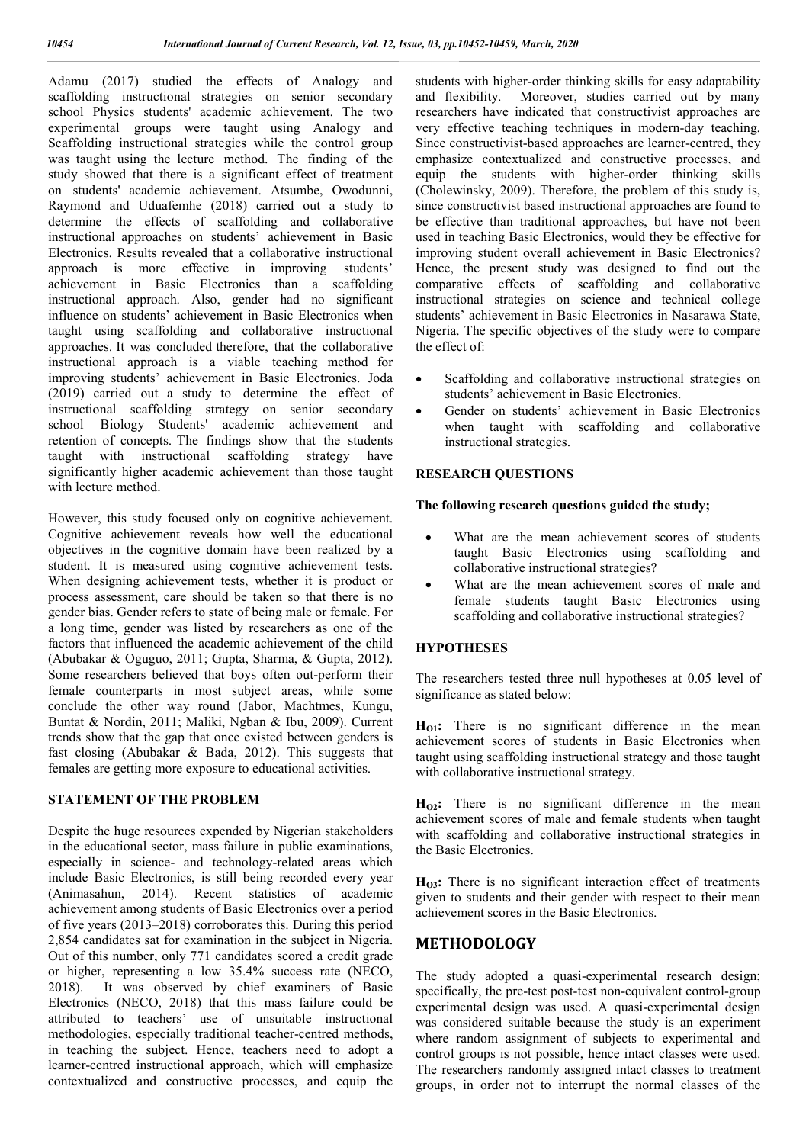Adamu (2017) studied the effects of Analogy and scaffolding instructional strategies on senior secondary school Physics students' academic achievement. The two experimental groups were taught using Analogy and Scaffolding instructional strategies while the control group was taught using the lecture method. The finding of the study showed that there is a significant effect of treatment on students' academic achievement. Atsumbe, Owodunni, Raymond and Uduafemhe (2018) carried out a study to determine the effects of scaffolding and collaborative instructional approaches on students' achievement in Basic Electronics. Results revealed that a collaborative instructional approach is more effective in improving students' achievement in Basic Electronics than a scaffolding instructional approach. Also, gender had no significant influence on students' achievement in Basic Electronics when taught using scaffolding and collaborative instructional approaches. It was concluded therefore, that the collaborative instructional approach is a viable teaching method for improving students' achievement in Basic Electronics. Joda (2019) carried out a study to determine the effect of instructional scaffolding strategy on senior secondary school Biology Students' academic achievement and retention of concepts. The findings show that the students taught with instructional scaffolding strategy have significantly higher academic achievement than those taught with lecture method.

However, this study focused only on cognitive achievement. Cognitive achievement reveals how well the educational objectives in the cognitive domain have been realized by a student. It is measured using cognitive achievement tests. When designing achievement tests, whether it is product or process assessment, care should be taken so that there is no gender bias. Gender refers to state of being male or female. For a long time, gender was listed by researchers as one of the factors that influenced the academic achievement of the child (Abubakar & Oguguo, 2011; Gupta, Sharma, & Gupta, 2012). Some researchers believed that boys often out-perform their female counterparts in most subject areas, while some conclude the other way round (Jabor, Machtmes, Kungu, Buntat & Nordin, 2011; Maliki, Ngban & Ibu, 2009). Current trends show that the gap that once existed between genders is fast closing (Abubakar & Bada, 2012). This suggests that females are getting more exposure to educational activities.

# **STATEMENT OF THE PROBLEM**

Despite the huge resources expended by Nigerian stakeholders in the educational sector, mass failure in public examinations, especially in science- and technology-related areas which include Basic Electronics, is still being recorded every year (Animasahun, 2014). Recent statistics of academic achievement among students of Basic Electronics over a period of five years (2013–2018) corroborates this. During this period 2,854 candidates sat for examination in the subject in Nigeria. Out of this number, only 771 candidates scored a credit grade or higher, representing a low 35.4% success rate (NECO, 2018). It was observed by chief examiners of Basic Electronics (NECO, 2018) that this mass failure could be attributed to teachers' use of unsuitable instructional methodologies, especially traditional teacher-centred methods, in teaching the subject. Hence, teachers need to adopt a learner-centred instructional approach, which will emphasize contextualized and constructive processes, and equip the

students with higher-order thinking skills for easy adaptability and flexibility. Moreover, studies carried out by many researchers have indicated that constructivist approaches are very effective teaching techniques in modern-day teaching. Since constructivist-based approaches are learner-centred, they emphasize contextualized and constructive processes, and equip the students with higher-order thinking skills (Cholewinsky, 2009). Therefore, the problem of this study is, since constructivist based instructional approaches are found to be effective than traditional approaches, but have not been used in teaching Basic Electronics, would they be effective for improving student overall achievement in Basic Electronics? Hence, the present study was designed to find out the comparative effects of scaffolding and collaborative instructional strategies on science and technical college students' achievement in Basic Electronics in Nasarawa State, Nigeria. The specific objectives of the study were to compare the effect of:

- Scaffolding and collaborative instructional strategies on students' achievement in Basic Electronics.
- Gender on students' achievement in Basic Electronics when taught with scaffolding and collaborative instructional strategies.

#### **RESEARCH QUESTIONS**

#### **The following research questions guided the study;**

- What are the mean achievement scores of students taught Basic Electronics using scaffolding and collaborative instructional strategies?
- What are the mean achievement scores of male and female students taught Basic Electronics using scaffolding and collaborative instructional strategies?

# **HYPOTHESES**

The researchers tested three null hypotheses at 0.05 level of significance as stated below:

H<sub>O1</sub>: There is no significant difference in the mean achievement scores of students in Basic Electronics when taught using scaffolding instructional strategy and those taught with collaborative instructional strategy.

 $H_{02}$ : There is no significant difference in the mean achievement scores of male and female students when taught with scaffolding and collaborative instructional strategies in the Basic Electronics.

H<sub>O3</sub>: There is no significant interaction effect of treatments given to students and their gender with respect to their mean achievement scores in the Basic Electronics.

# **METHODOLOGY**

The study adopted a quasi-experimental research design; specifically, the pre-test post-test non-equivalent control-group experimental design was used. A quasi-experimental design was considered suitable because the study is an experiment where random assignment of subjects to experimental and control groups is not possible, hence intact classes were used. The researchers randomly assigned intact classes to treatment groups, in order not to interrupt the normal classes of the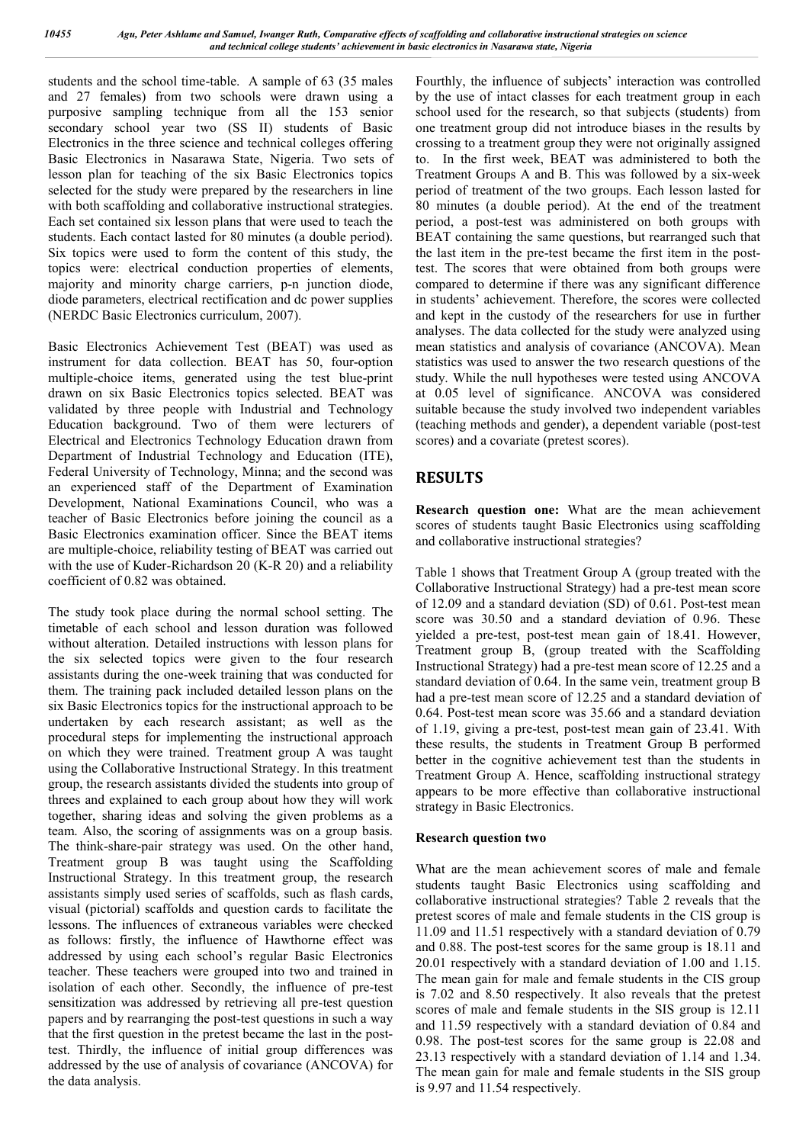students and the school time-table. A sample of 63 (35 males and 27 females) from two schools were drawn using a purposive sampling technique from all the 153 senior secondary school year two (SS II) students of Basic Electronics in the three science and technical colleges offering Basic Electronics in Nasarawa State, Nigeria. Two sets of lesson plan for teaching of the six Basic Electronics topics selected for the study were prepared by the researchers in line with both scaffolding and collaborative instructional strategies. Each set contained six lesson plans that were used to teach the students. Each contact lasted for 80 minutes (a double period). Six topics were used to form the content of this study, the topics were: electrical conduction properties of elements, majority and minority charge carriers, p-n junction diode, diode parameters, electrical rectification and dc power supplies (NERDC Basic Electronics curriculum, 2007).

Basic Electronics Achievement Test (BEAT) was used as instrument for data collection. BEAT has 50, four-option multiple-choice items, generated using the test blue-print drawn on six Basic Electronics topics selected. BEAT was validated by three people with Industrial and Technology Education background. Two of them were lecturers of Electrical and Electronics Technology Education drawn from Department of Industrial Technology and Education (ITE), Federal University of Technology, Minna; and the second was an experienced staff of the Department of Examination Development, National Examinations Council, who was a teacher of Basic Electronics before joining the council as a Basic Electronics examination officer. Since the BEAT items are multiple-choice, reliability testing of BEAT was carried out with the use of Kuder-Richardson 20 (K-R 20) and a reliability coefficient of 0.82 was obtained.

The study took place during the normal school setting. The timetable of each school and lesson duration was followed without alteration. Detailed instructions with lesson plans for the six selected topics were given to the four research assistants during the one-week training that was conducted for them. The training pack included detailed lesson plans on the six Basic Electronics topics for the instructional approach to be undertaken by each research assistant; as well as the procedural steps for implementing the instructional approach on which they were trained. Treatment group A was taught using the Collaborative Instructional Strategy. In this treatment group, the research assistants divided the students into group of threes and explained to each group about how they will work together, sharing ideas and solving the given problems as a team. Also, the scoring of assignments was on a group basis. The think-share-pair strategy was used. On the other hand, Treatment group B was taught using the Scaffolding Instructional Strategy. In this treatment group, the research assistants simply used series of scaffolds, such as flash cards, visual (pictorial) scaffolds and question cards to facilitate the lessons. The influences of extraneous variables were checked as follows: firstly, the influence of Hawthorne effect was addressed by using each school's regular Basic Electronics teacher. These teachers were grouped into two and trained in isolation of each other. Secondly, the influence of pre-test sensitization was addressed by retrieving all pre-test question papers and by rearranging the post-test questions in such a way that the first question in the pretest became the last in the posttest. Thirdly, the influence of initial group differences was addressed by the use of analysis of covariance (ANCOVA) for the data analysis.

Fourthly, the influence of subjects' interaction was controlled by the use of intact classes for each treatment group in each school used for the research, so that subjects (students) from one treatment group did not introduce biases in the results by crossing to a treatment group they were not originally assigned to. In the first week, BEAT was administered to both the Treatment Groups A and B. This was followed by a six-week period of treatment of the two groups. Each lesson lasted for 80 minutes (a double period). At the end of the treatment period, a post-test was administered on both groups with BEAT containing the same questions, but rearranged such that the last item in the pre-test became the first item in the posttest. The scores that were obtained from both groups were compared to determine if there was any significant difference in students' achievement. Therefore, the scores were collected and kept in the custody of the researchers for use in further analyses. The data collected for the study were analyzed using mean statistics and analysis of covariance (ANCOVA). Mean statistics was used to answer the two research questions of the study. While the null hypotheses were tested using ANCOVA at 0.05 level of significance. ANCOVA was considered suitable because the study involved two independent variables (teaching methods and gender), a dependent variable (post-test scores) and a covariate (pretest scores).

# **RESULTS**

**Research question one:** What are the mean achievement scores of students taught Basic Electronics using scaffolding and collaborative instructional strategies?

Table 1 shows that Treatment Group A (group treated with the Collaborative Instructional Strategy) had a pre-test mean score of 12.09 and a standard deviation (SD) of 0.61. Post-test mean score was 30.50 and a standard deviation of 0.96. These yielded a pre-test, post-test mean gain of 18.41. However, Treatment group B, (group treated with the Scaffolding Instructional Strategy) had a pre-test mean score of 12.25 and a standard deviation of 0.64. In the same vein, treatment group B had a pre-test mean score of 12.25 and a standard deviation of 0.64. Post-test mean score was 35.66 and a standard deviation of 1.19, giving a pre-test, post-test mean gain of 23.41. With these results, the students in Treatment Group B performed better in the cognitive achievement test than the students in Treatment Group A. Hence, scaffolding instructional strategy appears to be more effective than collaborative instructional strategy in Basic Electronics.

# **Research question two**

What are the mean achievement scores of male and female students taught Basic Electronics using scaffolding and collaborative instructional strategies? Table 2 reveals that the pretest scores of male and female students in the CIS group is 11.09 and 11.51 respectively with a standard deviation of 0.79 and 0.88. The post-test scores for the same group is 18.11 and 20.01 respectively with a standard deviation of 1.00 and 1.15. The mean gain for male and female students in the CIS group is 7.02 and 8.50 respectively. It also reveals that the pretest scores of male and female students in the SIS group is 12.11 and 11.59 respectively with a standard deviation of 0.84 and 0.98. The post-test scores for the same group is 22.08 and 23.13 respectively with a standard deviation of 1.14 and 1.34. The mean gain for male and female students in the SIS group is 9.97 and 11.54 respectively.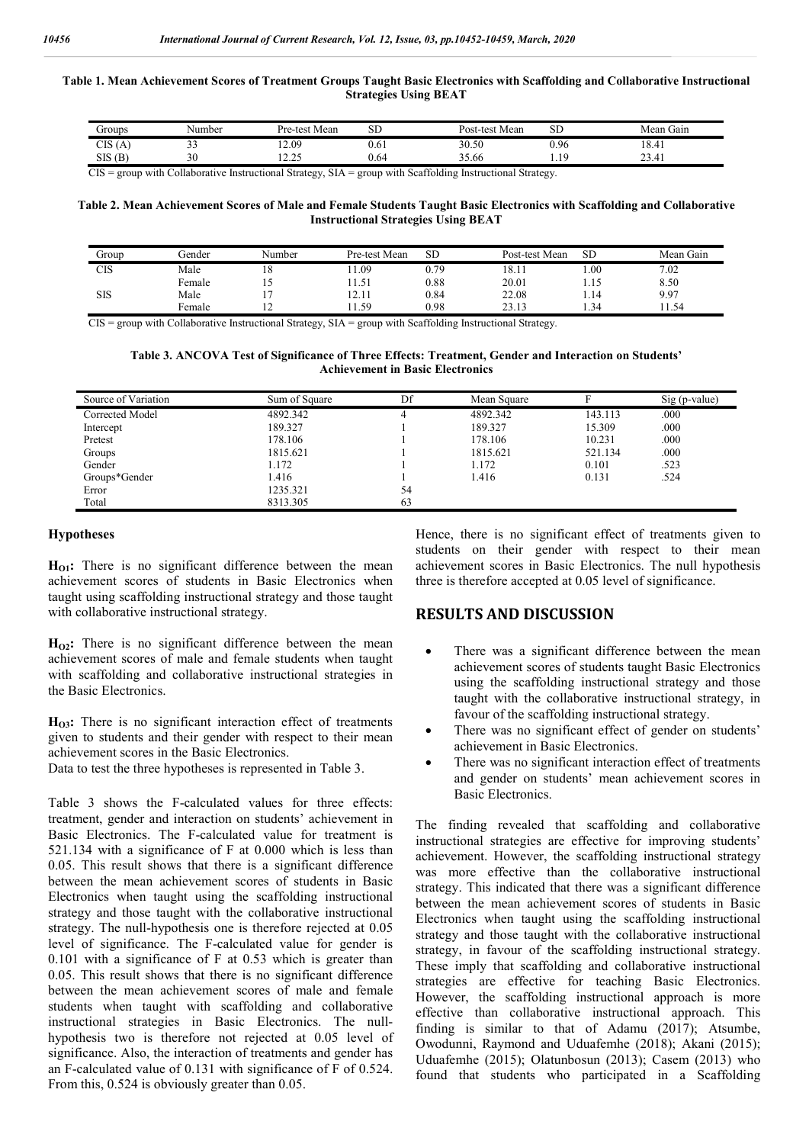#### **Table 1. Mean Achievement Scores of Treatment Groups Taught Basic Electronics with Scaffolding and Collaborative Instructional Strategies Using BEAT**

| Groups            | Number                   | D.<br>Pre-test<br>Mean | $\sim$ $\sim$<br>ىدە | Post-test Mean | $\sim$ $\sim$<br>ىدە | Mean Gain       |
|-------------------|--------------------------|------------------------|----------------------|----------------|----------------------|-----------------|
| $\cap$ TC<br>دررب | <b>. .</b><br>ر ر<br>- - | 12.09                  | 0.61                 | 30.50          | 0.96                 | 18.41           |
| SIS(B)            | 30                       | 1225<br>12.LJ          | 0.64                 | 35.66          | $\sim$<br>.          | $\sim$<br>25.41 |

CIS = group with Collaborative Instructional Strategy, SIA = group with Scaffolding Instructional Strategy.

**Table 2. Mean Achievement Scores of Male and Female Students Taught Basic Electronics with Scaffolding and Collaborative Instructional Strategies Using BEAT**

| Group | Gender | Number | Pre-test Mean | <b>SD</b> | Post-test Mean | SD   | Mean Gain |
|-------|--------|--------|---------------|-----------|----------------|------|-----------|
| CIS   | Male   | 18     | 0.1.09        | 0.79      | 18.11          | .00. | 7.02      |
|       | Female |        | 11.51         | 0.88      | 20.01          | 1.IJ | 8.50      |
| SIS   | Male   |        | 12.11         | 0.84      | 22.08          | 1.14 | 9.97      |
|       | Female | --     | .1.59         | 0.98      | 23.13          | 1.34 | 11.54     |

 $\overline{CIS}$  = group with Collaborative Instructional Strategy, SIA = group with Scaffolding Instructional Strategy.

**Table 3. ANCOVA Test of Significance of Three Effects: Treatment, Gender and Interaction on Students' Achievement in Basic Electronics**

| Source of Variation | Sum of Square | Df | Mean Square |         | $Sig$ (p-value) |
|---------------------|---------------|----|-------------|---------|-----------------|
| Corrected Model     | 4892.342      |    | 4892.342    | 143.113 | .000            |
| Intercept           | 189.327       |    | 189.327     | 15.309  | .000            |
| Pretest             | 178.106       |    | 178.106     | 10.231  | .000            |
| Groups              | 1815.621      |    | 1815.621    | 521.134 | .000            |
| Gender              | 1.172         |    | 1.172       | 0.101   | .523            |
| Groups*Gender       | 1.416         |    | 1.416       | 0.131   | .524            |
| Error               | 1235.321      | 54 |             |         |                 |
| Total               | 8313.305      | 63 |             |         |                 |

#### **Hypotheses**

**H<sub>O1</sub>:** There is no significant difference between the mean achievement scores of students in Basic Electronics when taught using scaffolding instructional strategy and those taught with collaborative instructional strategy.

 $H_{02}$ : There is no significant difference between the mean achievement scores of male and female students when taught with scaffolding and collaborative instructional strategies in the Basic Electronics.

H<sub>O3</sub>: There is no significant interaction effect of treatments given to students and their gender with respect to their mean achievement scores in the Basic Electronics.

Data to test the three hypotheses is represented in Table 3.

Table 3 shows the F-calculated values for three effects: treatment, gender and interaction on students' achievement in Basic Electronics. The F-calculated value for treatment is 521.134 with a significance of F at 0.000 which is less than 0.05. This result shows that there is a significant difference between the mean achievement scores of students in Basic Electronics when taught using the scaffolding instructional strategy and those taught with the collaborative instructional strategy. The null-hypothesis one is therefore rejected at 0.05 level of significance. The F-calculated value for gender is 0.101 with a significance of F at 0.53 which is greater than 0.05. This result shows that there is no significant difference between the mean achievement scores of male and female students when taught with scaffolding and collaborative instructional strategies in Basic Electronics. The nullhypothesis two is therefore not rejected at 0.05 level of significance. Also, the interaction of treatments and gender has an F-calculated value of 0.131 with significance of F of 0.524. From this, 0.524 is obviously greater than 0.05.

Hence, there is no significant effect of treatments given to students on their gender with respect to their mean achievement scores in Basic Electronics. The null hypothesis three is therefore accepted at 0.05 level of significance.

# **RESULTS AND DISCUSSION**

- There was a significant difference between the mean achievement scores of students taught Basic Electronics using the scaffolding instructional strategy and those taught with the collaborative instructional strategy, in favour of the scaffolding instructional strategy.
- There was no significant effect of gender on students' achievement in Basic Electronics.
- There was no significant interaction effect of treatments and gender on students' mean achievement scores in Basic Electronics.

The finding revealed that scaffolding and collaborative instructional strategies are effective for improving students' achievement. However, the scaffolding instructional strategy was more effective than the collaborative instructional strategy. This indicated that there was a significant difference between the mean achievement scores of students in Basic Electronics when taught using the scaffolding instructional strategy and those taught with the collaborative instructional strategy, in favour of the scaffolding instructional strategy. These imply that scaffolding and collaborative instructional strategies are effective for teaching Basic Electronics. However, the scaffolding instructional approach is more effective than collaborative instructional approach. This finding is similar to that of Adamu (2017); Atsumbe, Owodunni, Raymond and Uduafemhe (2018); Akani (2015); Uduafemhe (2015); Olatunbosun (2013); Casem (2013) who found that students who participated in a Scaffolding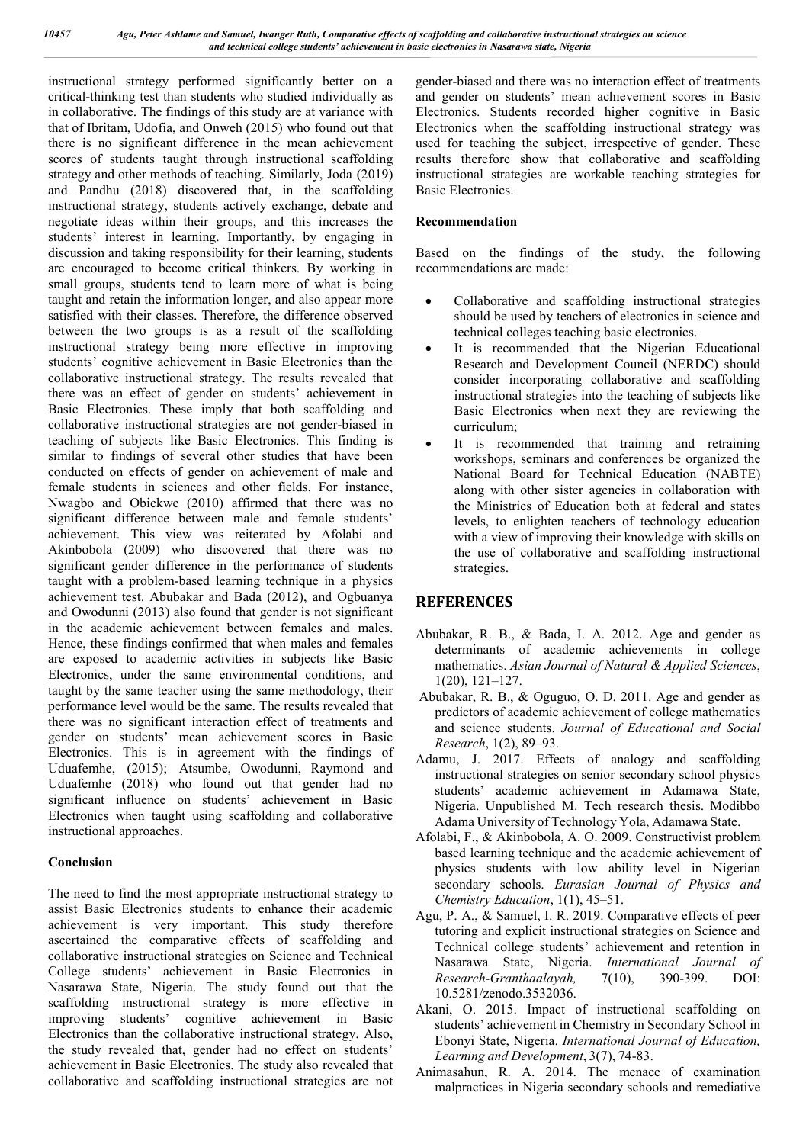instructional strategy performed significantly better on a critical-thinking test than students who studied individually as in collaborative. The findings of this study are at variance with that of Ibritam, Udofia, and Onweh (2015) who found out that there is no significant difference in the mean achievement scores of students taught through instructional scaffolding strategy and other methods of teaching. Similarly, Joda (2019) and Pandhu (2018) discovered that, in the scaffolding instructional strategy, students actively exchange, debate and negotiate ideas within their groups, and this increases the students' interest in learning. Importantly, by engaging in discussion and taking responsibility for their learning, students are encouraged to become critical thinkers. By working in small groups, students tend to learn more of what is being taught and retain the information longer, and also appear more satisfied with their classes. Therefore, the difference observed between the two groups is as a result of the scaffolding instructional strategy being more effective in improving students' cognitive achievement in Basic Electronics than the collaborative instructional strategy. The results revealed that there was an effect of gender on students' achievement in Basic Electronics. These imply that both scaffolding and collaborative instructional strategies are not gender-biased in teaching of subjects like Basic Electronics. This finding is similar to findings of several other studies that have been conducted on effects of gender on achievement of male and female students in sciences and other fields. For instance, Nwagbo and Obiekwe (2010) affirmed that there was no significant difference between male and female students' achievement. This view was reiterated by Afolabi and Akinbobola (2009) who discovered that there was no significant gender difference in the performance of students taught with a problem-based learning technique in a physics achievement test. Abubakar and Bada (2012), and Ogbuanya and Owodunni (2013) also found that gender is not significant in the academic achievement between females and males. Hence, these findings confirmed that when males and females are exposed to academic activities in subjects like Basic Electronics, under the same environmental conditions, and taught by the same teacher using the same methodology, their performance level would be the same. The results revealed that there was no significant interaction effect of treatments and gender on students' mean achievement scores in Basic Electronics. This is in agreement with the findings of Uduafemhe, (2015); Atsumbe, Owodunni, Raymond and Uduafemhe (2018) who found out that gender had no significant influence on students' achievement in Basic Electronics when taught using scaffolding and collaborative instructional approaches.

# **Conclusion**

The need to find the most appropriate instructional strategy to assist Basic Electronics students to enhance their academic achievement is very important. This study therefore ascertained the comparative effects of scaffolding and collaborative instructional strategies on Science and Technical College students' achievement in Basic Electronics in Nasarawa State, Nigeria. The study found out that the scaffolding instructional strategy is more effective in improving students' cognitive achievement in Basic Electronics than the collaborative instructional strategy. Also, the study revealed that, gender had no effect on students' achievement in Basic Electronics. The study also revealed that collaborative and scaffolding instructional strategies are not gender-biased and there was no interaction effect of treatments and gender on students' mean achievement scores in Basic Electronics. Students recorded higher cognitive in Basic Electronics when the scaffolding instructional strategy was used for teaching the subject, irrespective of gender. These results therefore show that collaborative and scaffolding instructional strategies are workable teaching strategies for Basic Electronics.

# **Recommendation**

Based on the findings of the study, the following recommendations are made:

- Collaborative and scaffolding instructional strategies should be used by teachers of electronics in science and technical colleges teaching basic electronics.
- It is recommended that the Nigerian Educational Research and Development Council (NERDC) should consider incorporating collaborative and scaffolding instructional strategies into the teaching of subjects like Basic Electronics when next they are reviewing the curriculum;
- It is recommended that training and retraining workshops, seminars and conferences be organized the National Board for Technical Education (NABTE) along with other sister agencies in collaboration with the Ministries of Education both at federal and states levels, to enlighten teachers of technology education with a view of improving their knowledge with skills on the use of collaborative and scaffolding instructional strategies.

# **REFERENCES**

- Abubakar, R. B., & Bada, I. A. 2012. Age and gender as determinants of academic achievements in college mathematics. *Asian Journal of Natural & Applied Sciences*,  $1(20), 121-127.$
- Abubakar, R. B., & Oguguo, O. D. 2011. Age and gender as predictors of academic achievement of college mathematics and science students. *Journal of Educational and Social Research*, 1(2), 89‒93.
- Adamu, J. 2017. Effects of analogy and scaffolding instructional strategies on senior secondary school physics students' academic achievement in Adamawa State, Nigeria. Unpublished M. Tech research thesis. Modibbo Adama University of Technology Yola, Adamawa State.
- Afolabi, F., & Akinbobola, A. O. 2009. Constructivist problem based learning technique and the academic achievement of physics students with low ability level in Nigerian secondary schools. *Eurasian Journal of Physics and Chemistry Education*, 1(1), 45–51.
- Agu, P. A., & Samuel, I. R. 2019. Comparative effects of peer tutoring and explicit instructional strategies on Science and Technical college students' achievement and retention in Nasarawa State, Nigeria. *International Journal of Research-Granthaalayah,* 7(10), 10.5281/zenodo.3532036.
- Akani, O. 2015. Impact of instructional scaffolding on students' achievement in Chemistry in Secondary School in Ebonyi State, Nigeria. *International Journal of Education, Learning and Development*, 3(7), 74-83.
- Animasahun, R. A. 2014. The menace of examination malpractices in Nigeria secondary schools and remediative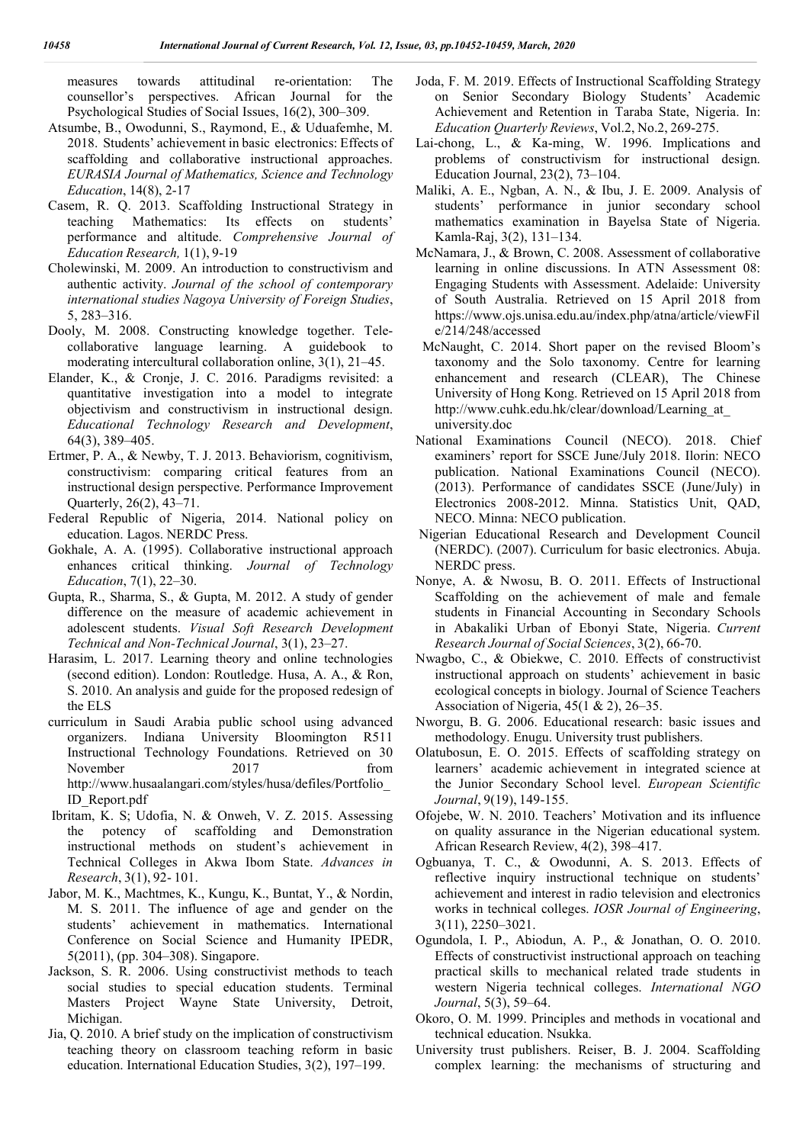measures towards attitudinal re-orientation: The counsellor's perspectives. African Journal for the Psychological Studies of Social Issues, 16(2), 300–309.

- Atsumbe, B., Owodunni, S., Raymond, E., & Uduafemhe, M. 2018. Students' achievement in basic electronics: Effects of scaffolding and collaborative instructional approaches. *EURASIA Journal of Mathematics, Science and Technology Education*, 14(8), 2-17
- Casem, R. Q. 2013. Scaffolding Instructional Strategy in teaching Mathematics: Its effects on students' performance and altitude. *Comprehensive Journal of Education Research,* 1(1), 9-19
- Cholewinski, M. 2009. An introduction to constructivism and authentic activity. *Journal of the school of contemporary international studies Nagoya University of Foreign Studies*, 5, 283‒316.
- Dooly, M. 2008. Constructing knowledge together. Telecollaborative language learning. A guidebook to moderating intercultural collaboration online,  $3(1)$ ,  $21-45$ .
- Elander, K., & Cronje, J. C. 2016. Paradigms revisited: a quantitative investigation into a model to integrate objectivism and constructivism in instructional design. *Educational Technology Research and Development*, 64(3), 389‒405.
- Ertmer, P. A., & Newby, T. J. 2013. Behaviorism, cognitivism, constructivism: comparing critical features from an instructional design perspective. Performance Improvement Quarterly, 26(2), 43‒71.
- Federal Republic of Nigeria, 2014. National policy on education. Lagos. NERDC Press.
- Gokhale, A. A. (1995). Collaborative instructional approach enhances critical thinking. *Journal of Technology Education*, 7(1), 22‒30.
- Gupta, R., Sharma, S., & Gupta, M. 2012. A study of gender difference on the measure of academic achievement in adolescent students. *Visual Soft Research Development Technical and Non-Technical Journal*, 3(1), 23‒27.
- Harasim, L. 2017. Learning theory and online technologies (second edition). London: Routledge. Husa, A. A., & Ron, S. 2010. An analysis and guide for the proposed redesign of the ELS
- curriculum in Saudi Arabia public school using advanced organizers. Indiana University Bloomington R511 Instructional Technology Foundations. Retrieved on 30 November 2017 from http://www.husaalangari.com/styles/husa/defiles/Portfolio\_ ID\_Report.pdf
- Ibritam, K. S; Udofia, N. & Onweh, V. Z. 2015. Assessing the potency of scaffolding and Demonstration instructional methods on student's achievement in Technical Colleges in Akwa Ibom State. *Advances in Research*, 3(1), 92- 101.
- Jabor, M. K., Machtmes, K., Kungu, K., Buntat, Y., & Nordin, M. S. 2011. The influence of age and gender on the students' achievement in mathematics. International Conference on Social Science and Humanity IPEDR, 5(2011), (pp. 304‒308). Singapore.
- Jackson, S. R. 2006. Using constructivist methods to teach social studies to special education students. Terminal Masters Project Wayne State University, Detroit, Michigan.
- Jia, Q. 2010. A brief study on the implication of constructivism teaching theory on classroom teaching reform in basic education. International Education Studies, 3(2), 197-199.
- Joda, F. M. 2019. Effects of Instructional Scaffolding Strategy on Senior Secondary Biology Students' Academic Achievement and Retention in Taraba State, Nigeria. In: *Education Quarterly Reviews*, Vol.2, No.2, 269-275.
- Lai-chong, L., & Ka-ming, W. 1996. Implications and problems of constructivism for instructional design. Education Journal, 23(2), 73-104.
- Maliki, A. E., Ngban, A. N., & Ibu, J. E. 2009. Analysis of students' performance in junior secondary school mathematics examination in Bayelsa State of Nigeria. Kamla-Raj, 3(2), 131–134.
- McNamara, J., & Brown, C. 2008. Assessment of collaborative learning in online discussions. In ATN Assessment 08: Engaging Students with Assessment. Adelaide: University of South Australia. Retrieved on 15 April 2018 from https://www.ojs.unisa.edu.au/index.php/atna/article/viewFil e/214/248/accessed
- McNaught, C. 2014. Short paper on the revised Bloom's taxonomy and the Solo taxonomy. Centre for learning enhancement and research (CLEAR), The Chinese University of Hong Kong. Retrieved on 15 April 2018 from http://www.cuhk.edu.hk/clear/download/Learning\_at\_ university.doc
- National Examinations Council (NECO). 2018. Chief examiners' report for SSCE June/July 2018. Ilorin: NECO publication. National Examinations Council (NECO). (2013). Performance of candidates SSCE (June/July) in Electronics 2008-2012. Minna. Statistics Unit, QAD, NECO. Minna: NECO publication.
- Nigerian Educational Research and Development Council (NERDC). (2007). Curriculum for basic electronics. Abuja. NERDC press.
- Nonye, A. & Nwosu, B. O. 2011. Effects of Instructional Scaffolding on the achievement of male and female students in Financial Accounting in Secondary Schools in Abakaliki Urban of Ebonyi State, Nigeria. *Current Research Journal of Social Sciences*, 3(2), 66-70.
- Nwagbo, C., & Obiekwe, C. 2010. Effects of constructivist instructional approach on students' achievement in basic ecological concepts in biology. Journal of Science Teachers Association of Nigeria,  $45(1 \& 2)$ ,  $26-35$ .
- Nworgu, B. G. 2006. Educational research: basic issues and methodology. Enugu. University trust publishers.
- Olatubosun, E. O. 2015. Effects of scaffolding strategy on learners' academic achievement in integrated science at the Junior Secondary School level. *European Scientific Journal*, 9(19), 149-155.
- Ofojebe, W. N. 2010. Teachers' Motivation and its influence on quality assurance in the Nigerian educational system. African Research Review, 4(2), 398-417.
- Ogbuanya, T. C., & Owodunni, A. S. 2013. Effects of reflective inquiry instructional technique on students' achievement and interest in radio television and electronics works in technical colleges. *IOSR Journal of Engineering*, 3(11), 2250‒3021.
- Ogundola, I. P., Abiodun, A. P., & Jonathan, O. O. 2010. Effects of constructivist instructional approach on teaching practical skills to mechanical related trade students in western Nigeria technical colleges. *International NGO Journal*, 5(3), 59‒64.
- Okoro, O. M. 1999. Principles and methods in vocational and technical education. Nsukka.
- University trust publishers. Reiser, B. J. 2004. Scaffolding complex learning: the mechanisms of structuring and